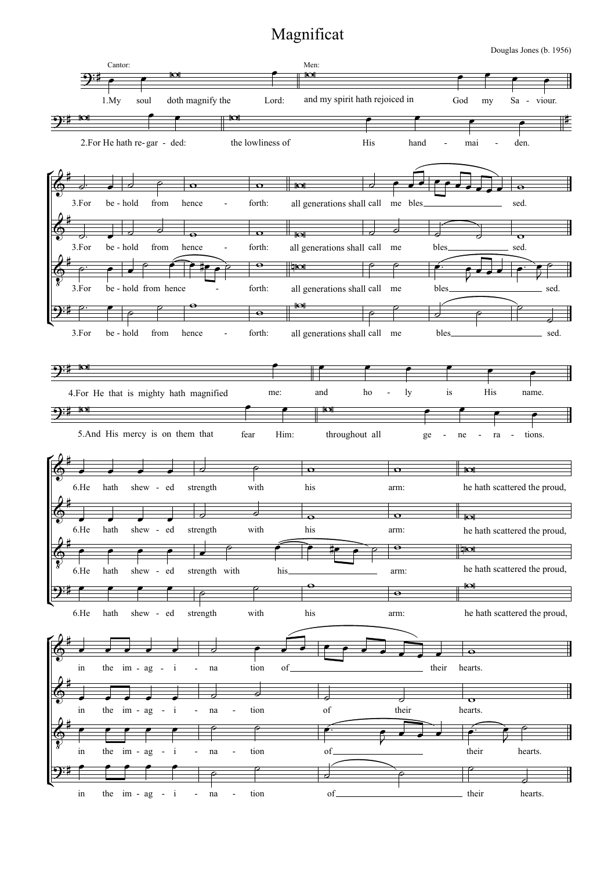## Magnificat

Douglas Jones (b. 1956)

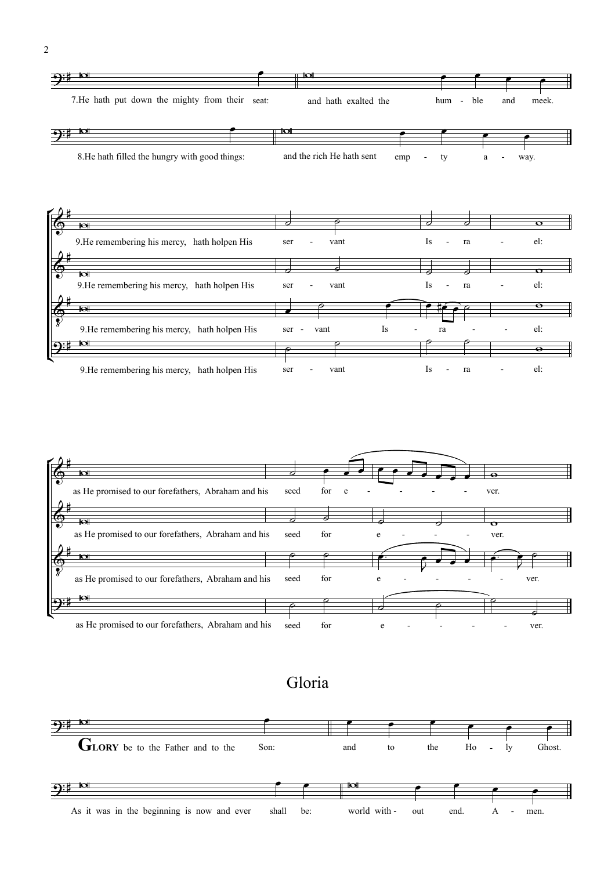